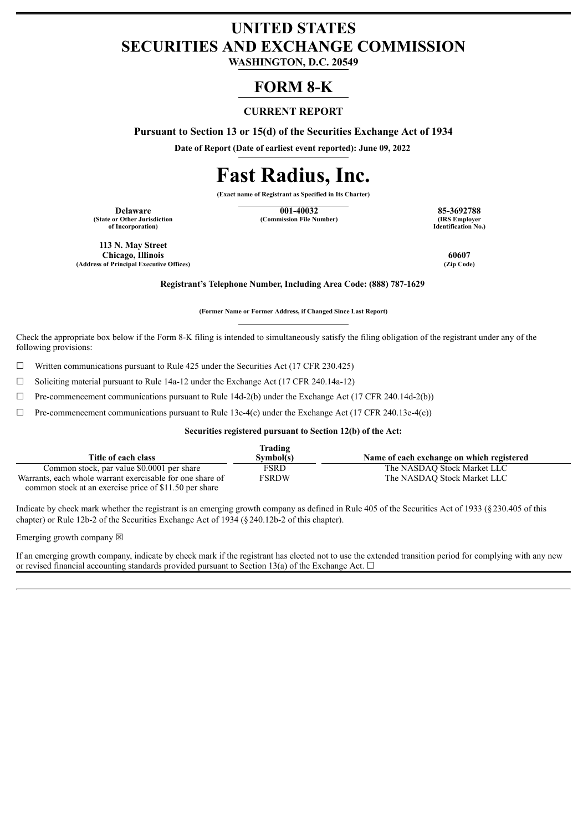# **UNITED STATES SECURITIES AND EXCHANGE COMMISSION**

**WASHINGTON, D.C. 20549**

# **FORM 8-K**

# **CURRENT REPORT**

**Pursuant to Section 13 or 15(d) of the Securities Exchange Act of 1934**

**Date of Report (Date of earliest event reported): June 09, 2022**

# **Fast Radius, Inc.**

**(Exact name of Registrant as Specified in Its Charter)**

**(State or Other Jurisdiction of Incorporation)**

**Delaware 001-40032 85-3692788 (Commission File Number)** 

**Identification No.)**

**113 N. May Street Chicago, Illinois 60607 (Address of Principal Executive Offices) (Zip Code)**

**Registrant's Telephone Number, Including Area Code: (888) 787-1629**

**(Former Name or Former Address, if Changed Since Last Report)**

Check the appropriate box below if the Form 8-K filing is intended to simultaneously satisfy the filing obligation of the registrant under any of the following provisions:

 $\Box$  Written communications pursuant to Rule 425 under the Securities Act (17 CFR 230.425)

☐ Soliciting material pursuant to Rule 14a-12 under the Exchange Act (17 CFR 240.14a-12)

 $\Box$  Pre-commencement communications pursuant to Rule 14d-2(b) under the Exchange Act (17 CFR 240.14d-2(b))

 $\Box$  Pre-commencement communications pursuant to Rule 13e-4(c) under the Exchange Act (17 CFR 240.13e-4(c))

#### **Securities registered pursuant to Section 12(b) of the Act:**

|                                                           | Trading   |                                           |
|-----------------------------------------------------------|-----------|-------------------------------------------|
| Title of each class                                       | Symbol(s) | Name of each exchange on which registered |
| Common stock, par value \$0,0001 per share                | FSRD      | The NASDAO Stock Market LLC               |
| Warrants, each whole warrant exercisable for one share of | FSRDW     | The NASDAO Stock Market LLC               |
| common stock at an exercise price of \$11.50 per share    |           |                                           |

Indicate by check mark whether the registrant is an emerging growth company as defined in Rule 405 of the Securities Act of 1933 (§230.405 of this chapter) or Rule 12b-2 of the Securities Exchange Act of 1934 (§240.12b-2 of this chapter).

Emerging growth company  $\boxtimes$ 

If an emerging growth company, indicate by check mark if the registrant has elected not to use the extended transition period for complying with any new or revised financial accounting standards provided pursuant to Section 13(a) of the Exchange Act.  $\Box$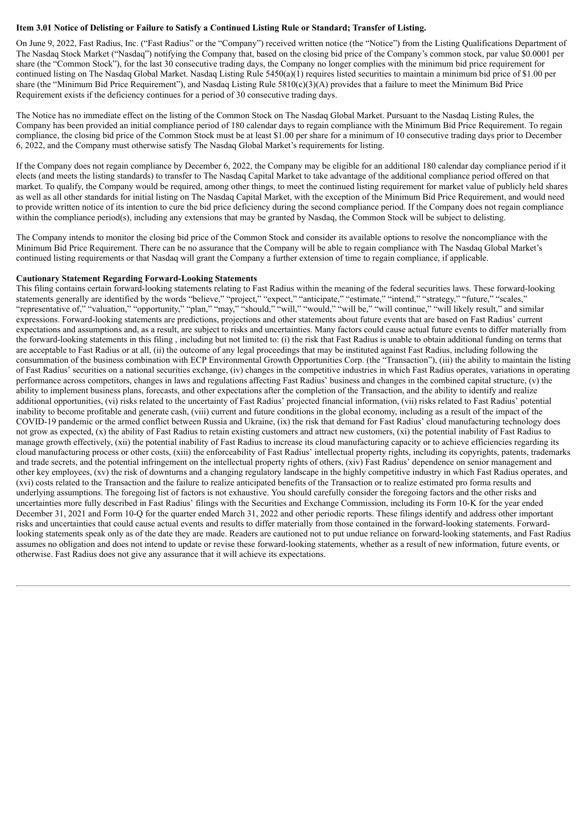#### Item 3.01 Notice of Delisting or Failure to Satisfy a Continued Listing Rule or Standard; Transfer of Listing.

On June 9, 2022, Fast Radius, Inc. ("Fast Radius" or the "Company") received written notice (the "Notice") from the Listing Qualifications Department of The Nasdaq Stock Market ("Nasdaq") notifying the Company that, based on the closing bid price of the Company's common stock, par value \$0.0001 per share (the "Common Stock"), for the last 30 consecutive trading days, the Company no longer complies with the minimum bid price requirement for continued listing on The Nasdaq Global Market. Nasdaq Listing Rule  $5450(a)(1)$  requires listed securities to maintain a minimum bid price of \$1.00 per share (the "Minimum Bid Price Requirement"), and Nasdaq Listing Rule  $5810(c)(3)$ (A) provides that a failure to meet the Minimum Bid Price Requirement exists if the deficiency continues for a period of 30 consecutive trading days.

The Notice has no immediate effect on the listing of the Common Stock on The Nasdaq Global Market. Pursuant to the Nasdaq Listing Rules, the Company has been provided an initial compliance period of 180 calendar days to regain compliance with the Minimum Bid Price Requirement. To regain compliance, the closing bid price of the Common Stock must be at least \$1.00 per share for a minimum of 10 consecutive trading days prior to December 6, 2022, and the Company must otherwise satisfy The Nasdaq Global Market's requirements for listing.

If the Company does not regain compliance by December 6, 2022, the Company may be eligible for an additional 180 calendar day compliance period if it elects (and meets the listing standards) to transfer to The Nasdaq Capital Market to take advantage of the additional compliance period offered on that market. To qualify, the Company would be required, among other things, to meet the continued listing requirement for market value of publicly held shares as well as all other standards for initial listing on The Nasdaq Capital Market, with the exception of the Minimum Bid Price Requirement, and would need to provide written notice of its intention to cure the bid price deficiency during the second compliance period. If the Company does not regain compliance within the compliance period(s), including any extensions that may be granted by Nasdaq, the Common Stock will be subject to delisting.

The Company intends to monitor the closing bid price of the Common Stock and consider its available options to resolve the noncompliance with the Minimum Bid Price Requirement. There can be no assurance that the Company will be able to regain compliance with The Nasdaq Global Market's continued listing requirements or that Nasdaq will grant the Company a further extension of time to regain compliance, if applicable.

#### **Cautionary Statement Regarding Forward-Looking Statements**

This filing contains certain forward-looking statements relating to Fast Radius within the meaning of the federal securities laws. These forward-looking statements generally are identified by the words "believe," "project," "expect," "anticipate," "estimate," "intend," "strategy," "future," "scales," "representative of," "valuation," "opportunity," "plan," "may," "should," "will," "would," "will be," "will continue," "will likely result," and similar expressions. Forward-looking statements are predictions, projections and other statements about future events that are based on Fast Radius' current expectations and assumptions and, as a result, are subject to risks and uncertainties. Many factors could cause actual future events to differ materially from the forward-looking statements in this filing , including but not limited to: (i) the risk that Fast Radius is unable to obtain additional funding on terms that are acceptable to Fast Radius or at all, (ii) the outcome of any legal proceedings that may be instituted against Fast Radius, including following the consummation of the business combination with ECP Environmental Growth Opportunities Corp. (the "Transaction"), (iii) the ability to maintain the listing of Fast Radius' securities on a national securities exchange, (iv) changes in the competitive industries in which Fast Radius operates, variations in operating performance across competitors, changes in laws and regulations affecting Fast Radius' business and changes in the combined capital structure, (v) the ability to implement business plans, forecasts, and other expectations after the completion of the Transaction, and the ability to identify and realize additional opportunities, (vi) risks related to the uncertainty of Fast Radius' projected financial information, (vii) risks related to Fast Radius' potential inability to become profitable and generate cash, (viii) current and future conditions in the global economy, including as a result of the impact of the COVID-19 pandemic or the armed conflict between Russia and Ukraine, (ix) the risk that demand for Fast Radius' cloud manufacturing technology does not grow as expected, (x) the ability of Fast Radius to retain existing customers and attract new customers, (xi) the potential inability of Fast Radius to manage growth effectively, (xii) the potential inability of Fast Radius to increase its cloud manufacturing capacity or to achieve efficiencies regarding its cloud manufacturing process or other costs, (xiii) the enforceability of Fast Radius' intellectual property rights, including its copyrights, patents, trademarks and trade secrets, and the potential infringement on the intellectual property rights of others, (xiv) Fast Radius' dependence on senior management and other key employees, (xv) the risk of downturns and a changing regulatory landscape in the highly competitive industry in which Fast Radius operates, and (xvi) costs related to the Transaction and the failure to realize anticipated benefits of the Transaction or to realize estimated pro forma results and underlying assumptions. The foregoing list of factors is not exhaustive. You should carefully consider the foregoing factors and the other risks and uncertainties more fully described in Fast Radius' filings with the Securities and Exchange Commission, including its Form 10-K for the year ended December 31, 2021 and Form 10-Q for the quarter ended March 31, 2022 and other periodic reports. These filings identify and address other important risks and uncertainties that could cause actual events and results to differ materially from those contained in the forward-looking statements. Forwardlooking statements speak only as of the date they are made. Readers are cautioned not to put undue reliance on forward-looking statements, and Fast Radius assumes no obligation and does not intend to update or revise these forward-looking statements, whether as a result of new information, future events, or otherwise. Fast Radius does not give any assurance that it will achieve its expectations.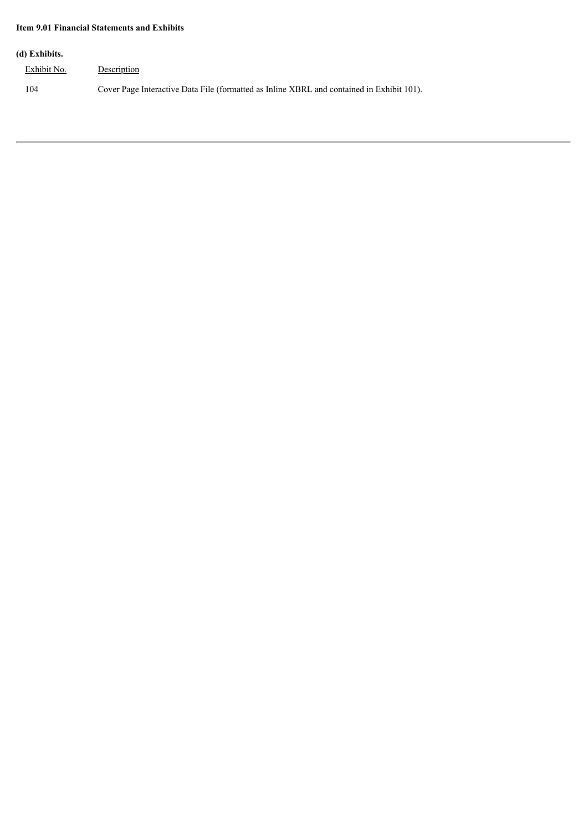## **Item 9.01 Financial Statements and Exhibits**

### **(d) Exhibits.**

| Exhibit No. | Description                                                                               |
|-------------|-------------------------------------------------------------------------------------------|
| 104         | Cover Page Interactive Data File (formatted as Inline XBRL and contained in Exhibit 101). |